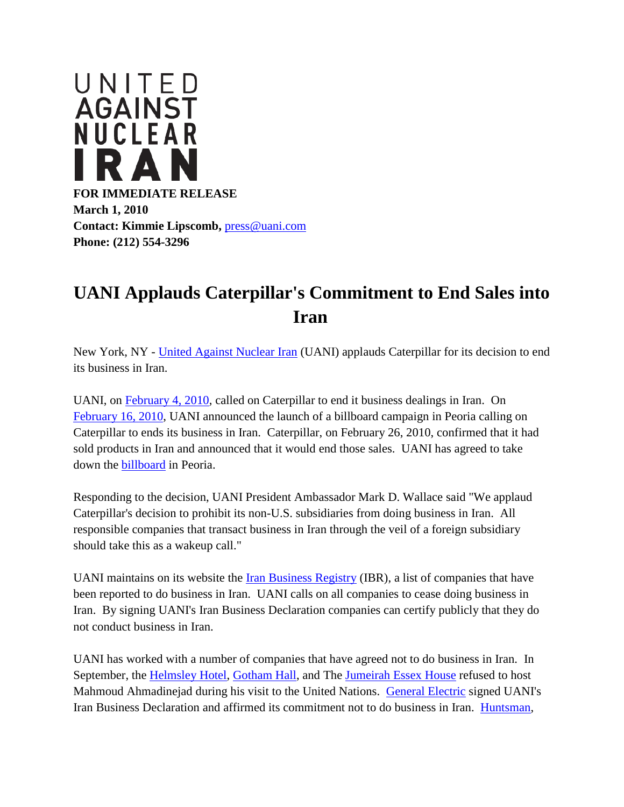

## **UANI Applauds Caterpillar's Commitment to End Sales into Iran**

New York, NY - [United Against Nuclear Iran](http://r20.rs6.net/tn.jsp?et=1103118004189&s=22659&e=001hmy6EWVZMcJUUA5PhfXpWDzUB1nKn7A5qKamLev-CYP7aGiXtvhUjhJ2_Cm34c6u_UjW-Kly7nNsBsfrCfixFIGGumr7haSGuO7xH1cUA1E=) (UANI) applauds Caterpillar for its decision to end its business in Iran.

UANI, on [February 4, 2010,](http://r20.rs6.net/tn.jsp?et=1103118004189&s=22659&e=001hmy6EWVZMcJr6hW4gpFYTfhK0hHWnpNovl328ts6lZa1iJ5M39kbHsRMmK3fFvzZ_KwOXF9jVfPJOjT6DrEZQWXpNUv4D6H6wNu_NAPpwZNybhArJxY_X3ktAZinh89sd3f7NjA6xLAZoiVavQTXTybkr4P3QrPC3C2YTAh4s-w=) called on Caterpillar to end it business dealings in Iran. On [February 16, 2010,](http://r20.rs6.net/tn.jsp?et=1103118004189&s=22659&e=001hmy6EWVZMcILyzEiFvVqIyziDgrUYJQf8R1ZZnONdJQYas7wuywBDLjGc6bV3IEUeByuSl2Dq4pqTfGgBqUAIq728wtfvgcWEwgvDo-eOix67mmn_jeLT7JcjYDnQITcEPPYXL3m7GEibkpHu37ANi4KikK40iOhMOownx6Sw8zFzXEMZ_lgtqxYQk1HaGVvS9QIXBb_aDEUK8hoXcDLSi3TKhbPd7uP5p3hXk4_pmdtfvTNrJTS0w==) UANI announced the launch of a billboard campaign in Peoria calling on Caterpillar to ends its business in Iran. Caterpillar, on February 26, 2010, confirmed that it had sold products in Iran and announced that it would end those sales. UANI has agreed to take down the [billboard](http://r20.rs6.net/tn.jsp?et=1103118004189&s=22659&e=001hmy6EWVZMcKriDan7dLuVgOcX6syAfTGEShXhus3nSsWTTe4jV90jlQ8wyD0Ev-ZFdsgrZ7Fkn6z4Nb63Xkc3tgu7OcYrvsxzSMyys8ZW2PHusOXDSgpzYyPBjwQxmHzHLb7mRdqk6jBsk0QMXtS0M7bslYE12NdVXZPKRBTv8IlVIkL56nQQfbCspvixbAJz_XglijWtRlM_m6BlZNL1GOZ5425o_Ex4t05Nwgo61o=) in Peoria.

Responding to the decision, UANI President Ambassador Mark D. Wallace said "We applaud Caterpillar's decision to prohibit its non-U.S. subsidiaries from doing business in Iran. All responsible companies that transact business in Iran through the veil of a foreign subsidiary should take this as a wakeup call."

UANI maintains on its website the [Iran Business Registry](http://r20.rs6.net/tn.jsp?et=1103118004189&s=22659&e=001hmy6EWVZMcJqXJ7ft8mCUMe8BpY6dAkgf6ZErq7w3EPVlD5a7ts7qjW_uQ1OWj8JAuKOV5LJ2o9O5AxfbztvL9XElbtIkg07sSSkHt2JbGOHr5xRB0gMRiBMEj_gfY18vEiFS5OLVfw=) (IBR), a list of companies that have been reported to do business in Iran. UANI calls on all companies to cease doing business in Iran. By signing UANI's Iran Business Declaration companies can certify publicly that they do not conduct business in Iran.

UANI has worked with a number of companies that have agreed not to do business in Iran. In September, the [Helmsley Hotel,](http://r20.rs6.net/tn.jsp?et=1103118004189&s=22659&e=001hmy6EWVZMcKacAAwxjfcHEzc7sxJBvc9mLx_DHBrW_i43b_zuZc1bjR4BKGPY2F606uUroNrHubS3MVQiuBe1pCmRPMorHR1bsKdQq8wlWJOH-xA2VlbYgK2FP34K4xMvLcDt8T66OfENjtjuCHnfQ==) [Gotham Hall,](http://r20.rs6.net/tn.jsp?et=1103118004189&s=22659&e=001hmy6EWVZMcJUUA5PhfXpWO52Eus58oscx5bGdYobTHG8zQfUyj2tHyGvjw-IjjViTYbFZhUN_ihvJeQDjyih_T6CO23ezlT27id1iM1a7pqfLYd4Ye5ga7Zl4vPW3MB_IGz1Q3Ab97MX5tW8SIlhuw==) and The [Jumeirah Essex House](http://r20.rs6.net/tn.jsp?et=1103118004189&s=22659&e=001hmy6EWVZMcJJPaMCigShhafTUWyQg7GtavV-DJbRf9AmROHgw01izSUICJnzO8E9KtLldhD0SLaor9EgoYSdjg53WeBXR7gfOARxxF88JTRKFKHfRHzJqsnlZdVAZXEfrk7MfK2b0K0L7VUAujB22w==) refused to host Mahmoud Ahmadinejad during his visit to the United Nations. [General Electric](http://r20.rs6.net/tn.jsp?et=1103118004189&s=22659&e=001hmy6EWVZMcJVicpNSPdq8I9qRbJ76unHmRFWITdTn37-CEE_mornadnwgMgcY5MxIrz_WUUqhmAZmmOuDOZ57_QzftaS6NStJEMqfNRPD_zO1PeZshV_D-JziYMj40ZzHV43KhQ9TlT-11Y7owGULA==) signed UANI's Iran Business Declaration and affirmed its commitment not to do business in Iran. [Huntsman,](http://r20.rs6.net/tn.jsp?et=1103118004189&s=22659&e=001hmy6EWVZMcL0RgzRzBCYPzC78O4W0_KuVUuPqspryqqbmABBLjQEv0u9PvhBu81ulaCr6iaP7Mt89kcnOlV5qt0sMY6e6cldII4itythxeeA-6GBvcCRkVo6UjvXamEwZvinmiF4OsWLvWRVQcJCYDievYwZ3IyY)